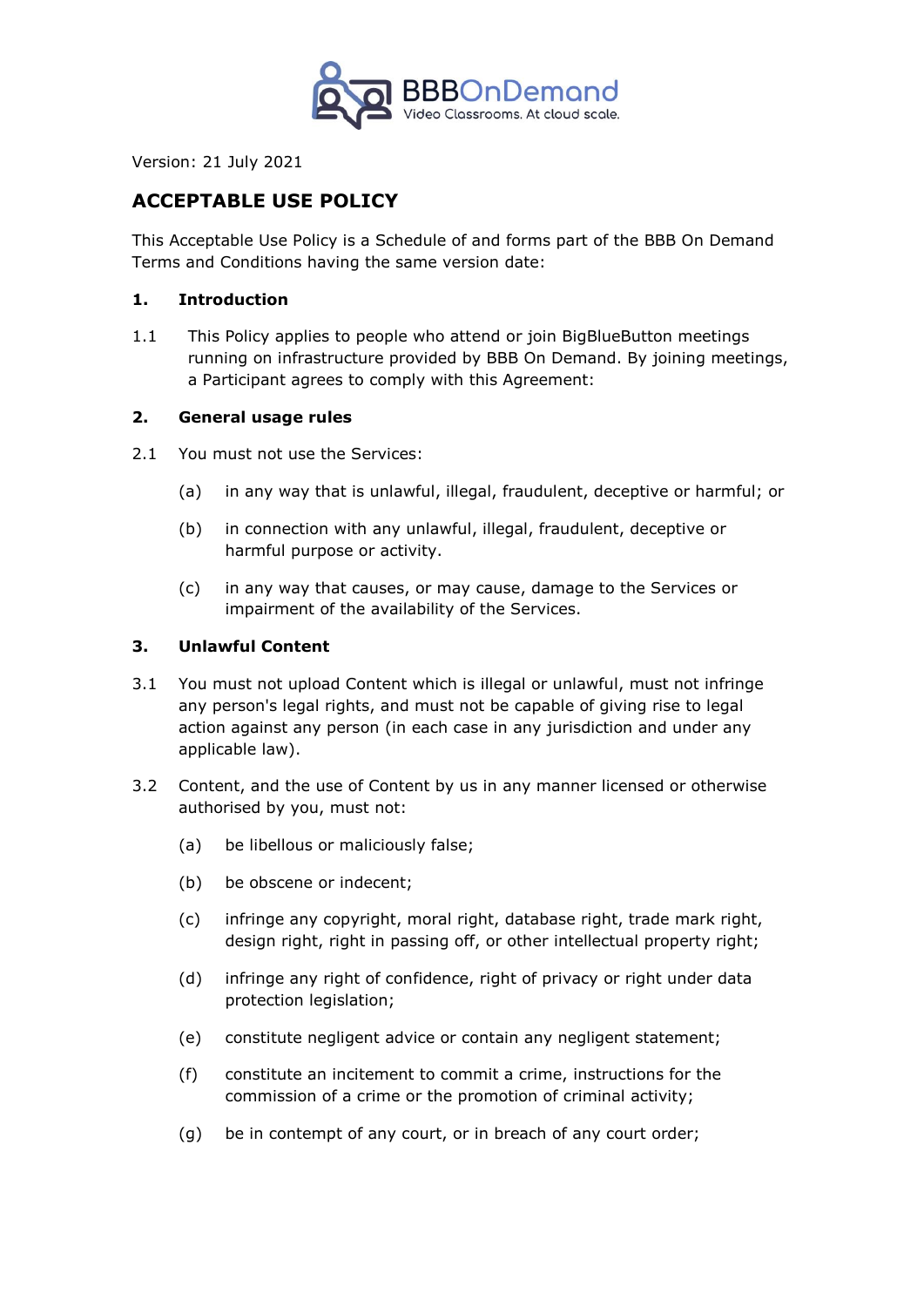

Version: 21 July 2021

# **ACCEPTABLE USE POLICY**

This Acceptable Use Policy is a Schedule of and forms part of the BBB On Demand Terms and Conditions having the same version date:

#### **1. Introduction**

1.1 This Policy applies to people who attend or join BigBlueButton meetings running on infrastructure provided by BBB On Demand. By joining meetings, a Participant agrees to comply with this Agreement:

#### **2. General usage rules**

- 2.1 You must not use the Services:
	- (a) in any way that is unlawful, illegal, fraudulent, deceptive or harmful; or
	- (b) in connection with any unlawful, illegal, fraudulent, deceptive or harmful purpose or activity.
	- (c) in any way that causes, or may cause, damage to the Services or impairment of the availability of the Services.

#### **3. Unlawful Content**

- 3.1 You must not upload Content which is illegal or unlawful, must not infringe any person's legal rights, and must not be capable of giving rise to legal action against any person (in each case in any jurisdiction and under any applicable law).
- 3.2 Content, and the use of Content by us in any manner licensed or otherwise authorised by you, must not:
	- (a) be libellous or maliciously false;
	- (b) be obscene or indecent;
	- (c) infringe any copyright, moral right, database right, trade mark right, design right, right in passing off, or other intellectual property right;
	- (d) infringe any right of confidence, right of privacy or right under data protection legislation;
	- (e) constitute negligent advice or contain any negligent statement;
	- (f) constitute an incitement to commit a crime, instructions for the commission of a crime or the promotion of criminal activity;
	- (g) be in contempt of any court, or in breach of any court order;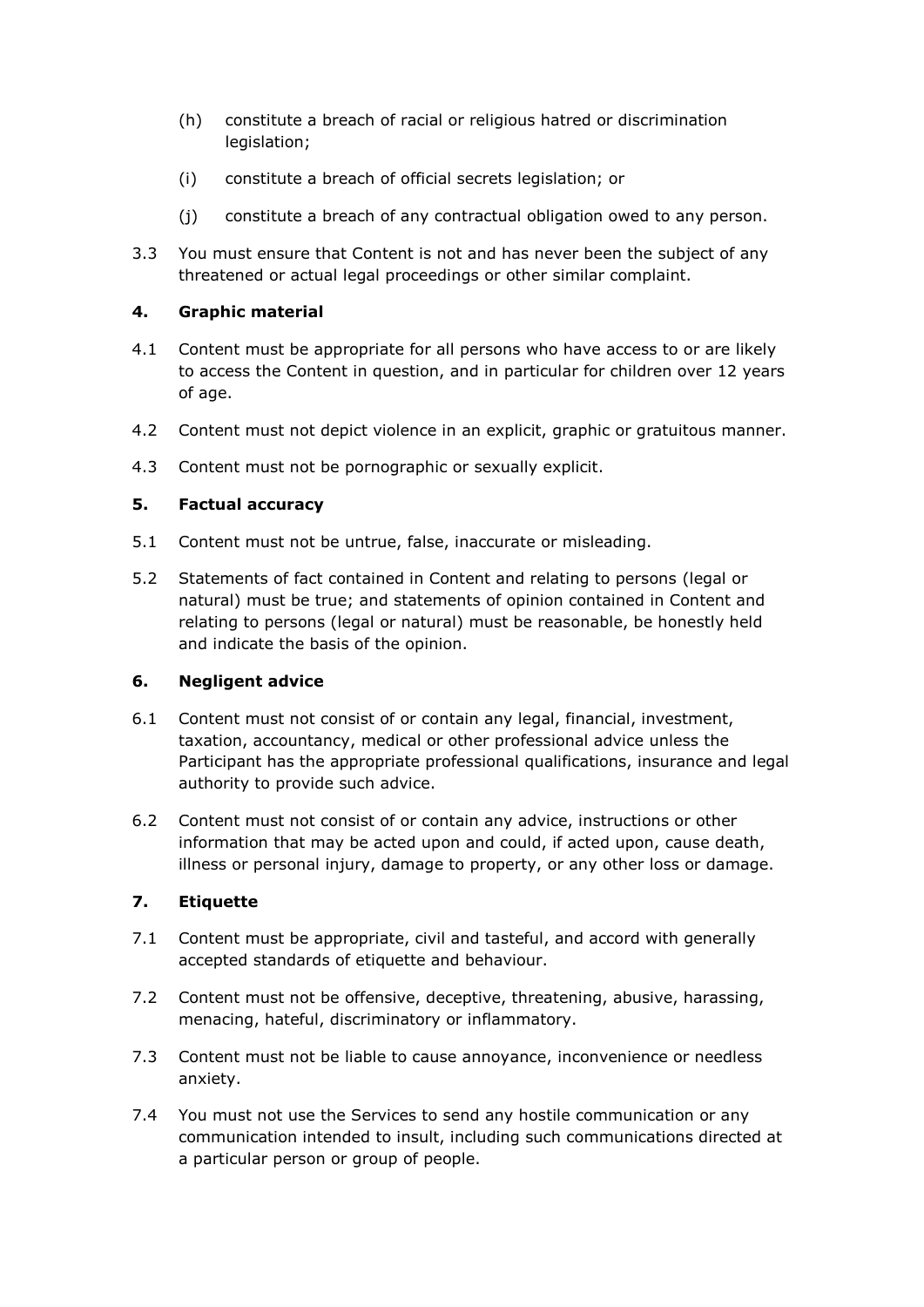- (h) constitute a breach of racial or religious hatred or discrimination legislation;
- (i) constitute a breach of official secrets legislation; or
- (j) constitute a breach of any contractual obligation owed to any person.
- 3.3 You must ensure that Content is not and has never been the subject of any threatened or actual legal proceedings or other similar complaint.

# **4. Graphic material**

- 4.1 Content must be appropriate for all persons who have access to or are likely to access the Content in question, and in particular for children over 12 years of age.
- 4.2 Content must not depict violence in an explicit, graphic or gratuitous manner.
- 4.3 Content must not be pornographic or sexually explicit.

## **5. Factual accuracy**

- 5.1 Content must not be untrue, false, inaccurate or misleading.
- 5.2 Statements of fact contained in Content and relating to persons (legal or natural) must be true; and statements of opinion contained in Content and relating to persons (legal or natural) must be reasonable, be honestly held and indicate the basis of the opinion.

## **6. Negligent advice**

- 6.1 Content must not consist of or contain any legal, financial, investment, taxation, accountancy, medical or other professional advice unless the Participant has the appropriate professional qualifications, insurance and legal authority to provide such advice.
- 6.2 Content must not consist of or contain any advice, instructions or other information that may be acted upon and could, if acted upon, cause death, illness or personal injury, damage to property, or any other loss or damage.

## **7. Etiquette**

- 7.1 Content must be appropriate, civil and tasteful, and accord with generally accepted standards of etiquette and behaviour.
- 7.2 Content must not be offensive, deceptive, threatening, abusive, harassing, menacing, hateful, discriminatory or inflammatory.
- 7.3 Content must not be liable to cause annoyance, inconvenience or needless anxiety.
- 7.4 You must not use the Services to send any hostile communication or any communication intended to insult, including such communications directed at a particular person or group of people.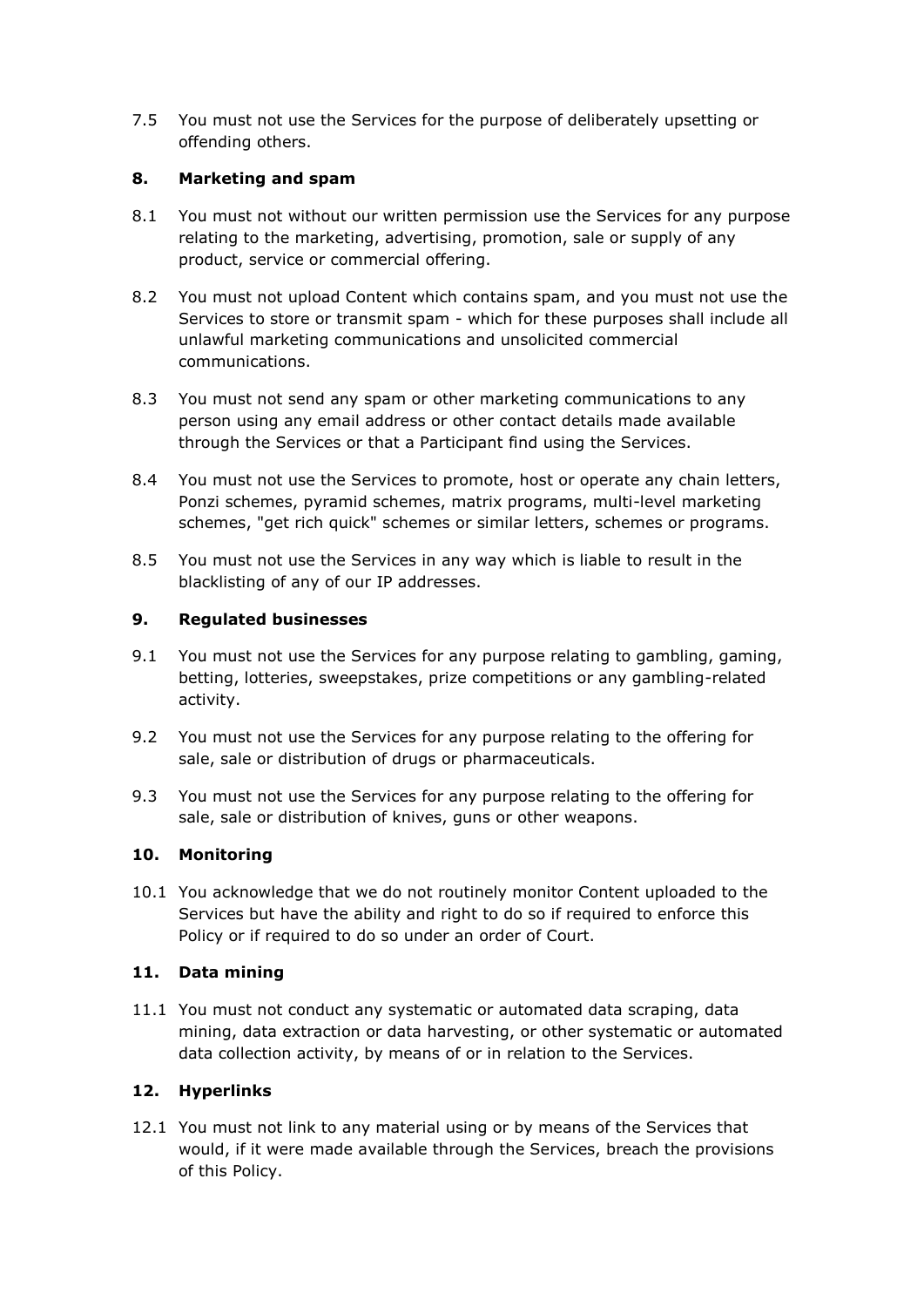7.5 You must not use the Services for the purpose of deliberately upsetting or offending others.

## **8. Marketing and spam**

- 8.1 You must not without our written permission use the Services for any purpose relating to the marketing, advertising, promotion, sale or supply of any product, service or commercial offering.
- 8.2 You must not upload Content which contains spam, and you must not use the Services to store or transmit spam - which for these purposes shall include all unlawful marketing communications and unsolicited commercial communications.
- 8.3 You must not send any spam or other marketing communications to any person using any email address or other contact details made available through the Services or that a Participant find using the Services.
- 8.4 You must not use the Services to promote, host or operate any chain letters, Ponzi schemes, pyramid schemes, matrix programs, multi-level marketing schemes, "get rich quick" schemes or similar letters, schemes or programs.
- 8.5 You must not use the Services in any way which is liable to result in the blacklisting of any of our IP addresses.

# **9. Regulated businesses**

- 9.1 You must not use the Services for any purpose relating to gambling, gaming, betting, lotteries, sweepstakes, prize competitions or any gambling-related activity.
- 9.2 You must not use the Services for any purpose relating to the offering for sale, sale or distribution of drugs or pharmaceuticals.
- 9.3 You must not use the Services for any purpose relating to the offering for sale, sale or distribution of knives, guns or other weapons.

# **10. Monitoring**

10.1 You acknowledge that we do not routinely monitor Content uploaded to the Services but have the ability and right to do so if required to enforce this Policy or if required to do so under an order of Court.

## **11. Data mining**

11.1 You must not conduct any systematic or automated data scraping, data mining, data extraction or data harvesting, or other systematic or automated data collection activity, by means of or in relation to the Services.

# **12. Hyperlinks**

12.1 You must not link to any material using or by means of the Services that would, if it were made available through the Services, breach the provisions of this Policy.